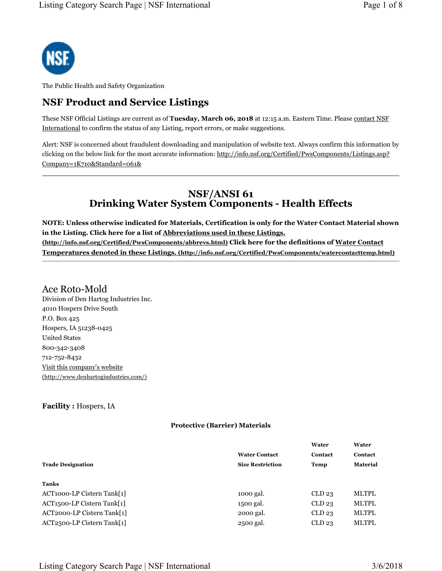

The Public Health and Safety Organization

# **NSF Product and Service Listings**

These NSF Official Listings are current as of **Tuesday, March 06, 2018** at 12:15 a.m. Eastern Time. Please contact NSF International to confirm the status of any Listing, report errors, or make suggestions.

Alert: NSF is concerned about fraudulent downloading and manipulation of website text. Always confirm this information by clicking on the below link for the most accurate information: http://info.nsf.org/Certified/PwsComponents/Listings.asp? Company=1K710&Standard=061&

## **NSF/ANSI 61 Drinking Water System Components - Health Effects**

**NOTE: Unless otherwise indicated for Materials, Certification is only for the Water Contact Material shown in the Listing. Click here for a list of Abbreviations used in these Listings. (http://info.nsf.org/Certified/PwsComponents/abbrevs.html) Click here for the definitions of Water Contact Temperatures denoted in these Listings. (http://info.nsf.org/Certified/PwsComponents/watercontacttemp.html)**

### Ace Roto-Mold

Division of Den Hartog Industries Inc. 4010 Hospers Drive South P.O. Box 425 Hospers, IA 51238-0425 United States 800-342-3408 712-752-8432 Visit this company's website (http://www.denhartogindustries.com/)

#### **Facility :** Hospers, IA

#### **Protective (Barrier) Materials**

|                                         |                         | Water             | Water           |
|-----------------------------------------|-------------------------|-------------------|-----------------|
|                                         | <b>Water Contact</b>    | Contact           | Contact         |
| <b>Trade Designation</b>                | <b>Size Restriction</b> | Temp              | <b>Material</b> |
|                                         |                         |                   |                 |
| Tanks                                   |                         |                   |                 |
| ACT1000-LP Cistern Tank[1]              | 1000 gal.               | CLD <sub>23</sub> | <b>MLTPL</b>    |
| ACT <sub>1500</sub> -LP Cistern Tank[1] | 1500 gal.               | CLD <sub>23</sub> | <b>MLTPL</b>    |
| ACT2000-LP Cistern Tank[1]              | 2000 gal.               | CLD <sub>23</sub> | <b>MLTPL</b>    |
| ACT2500-LP Cistern Tank[1]              | 2500 gal.               | CLD <sub>23</sub> | <b>MLTPL</b>    |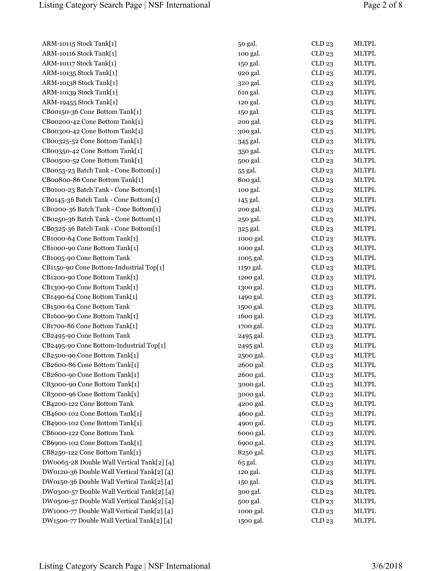ARM-10115 Stock Tank[1] ARM-10116 Stock Tank[1] ARM-10117 Stock Tank[1] ARM-10135 Stock Tank[1] ARM-10138 Stock Tank[1] ARM-10139 Stock Tank[1] ARM-19455 Stock Tank[1] CB00150-36 Cone Bottom Tank[1] CB00200-42 Cone Bottom Tank[1] CB00300-42 Cone Bottom Tank[1] CB00325-52 Cone Bottom Tank[1] CB00350-42 Cone Bottom Tank[1] CB00500-52 Cone Bottom Tank[1] CB0055-23 Batch Tank - Cone Bottom[1] CB00800-86 Cone Bottom Tank[1] CB0100-23 Batch Tank - Cone Bottom[1]  $CB0145-36$  Batch Tank - Cone Bottom[1]. CB0200-36 Batch Tank - Cone Bottom[1] CB0250-36 Batch Tank - Cone Bottom[1] CB0325-36 Batch Tank - Cone Bottom[1] CB1000-64 Cone Bottom Tank[1] CB1000-90 Cone Bottom Tank[1] CB1005-90 Cone Bottom Tank CB1150-90 Cone Bottom-Industrial Top[1] CB1200-90 Cone Bottom Tank[1]  $CB1300-90$  Cone Bottom Tank[1] CB1490-64 Cone Bottom Tank[1] CB1500-64 Cone Bottom Tank CB1600-90 Cone Bottom Tank[1] CB1700-86 Cone Bottom Tank[1] CB2495-90 Cone Bottom Tank CB2495-90 Cone Bottom-Industrial Top[1] CB2500-90 Cone Bottom Tank[1] CB2600-86 Cone Bottom Tank[1] CB2600-90 Cone Bottom Tank[1] CB3000-90 Cone Bottom Tank[1] CB3000-96 Cone Bottom Tank[1] CB4200-122 Cone Bottom Tank CB4600-102 Cone Bottom Tank[1] CB4900-102 Cone Bottom Tank[1] CB6000-122 Cone Bottom Tank CB6900-102 Cone Bottom Tank[1] CB8250-122 Cone Bottom Tank[1] DW0065-28 Double Wall Vertical Tank[2] [4]. DW0120-36 Double Wall Vertical Tank[2] [4] DW0150-36 Double Wall Vertical Tank[2] [4] DW0300-57 Double Wall Vertical Tank[2] [4] DW0500-57 Double Wall Vertical Tank[2] [4] DW1000-77 Double Wall Vertical Tank[2] [4] DW1500-77 Double Wall Vertical Tank[2] [4]

| 50 gal.   | CLD 23            | <b>MLTPL</b>                 |
|-----------|-------------------|------------------------------|
| 100 gal.  | CLD 23            | <b>MLTPL</b>                 |
| 150 gal.  | CLD23             | <b>MLTPL</b>                 |
| 920 gal.  | CLD <sub>23</sub> | <b>MLTPL</b>                 |
| 320 gal.  | CLD 23            | <b>MLTPL</b>                 |
| 610 gal.  | CLD <sub>23</sub> | <b>MLTPL</b>                 |
| 120 gal.  | CLD <sub>23</sub> | <b>MLTPL</b>                 |
| 150 gal.  | CLD <sub>23</sub> | <b>MLTPL</b>                 |
| 200 gal.  | CLD <sub>23</sub> | <b>MLTPL</b>                 |
| 300 gal.  | CLD23             | <b>MLTPL</b>                 |
| 345 gal.  | CLD <sub>23</sub> | <b>MLTPL</b>                 |
| 350 gal.  | CLD <sub>23</sub> | <b>MLTPL</b>                 |
| 500 gal.  | CLD23             | <b>MLTPL</b>                 |
| 55 gal.   | CLD <sub>23</sub> | <b>MLTPL</b>                 |
| 800 gal.  | CLD23             | <b>MLTPL</b>                 |
| 100 gal.  | CLD23             | <b>MLTPL</b>                 |
| 145 gal.  | CLD23             | <b>MLTPL</b>                 |
| 200 gal.  | CLD 23            | <b>MLTPL</b>                 |
| 250 gal.  | CLD <sub>23</sub> | <b>MLTPL</b>                 |
| 325 gal.  | CLD <sub>23</sub> | <b>MLTPL</b>                 |
| 1000 gal. | CLD <sub>23</sub> | <b>MLTPL</b>                 |
| 1000 gal. | CLD <sub>23</sub> | <b>MLTPL</b>                 |
| 1005 gal. | CLD23             | <b>MLTPL</b>                 |
| 1150 gal. | CLD <sub>23</sub> | <b>MLTPL</b>                 |
| 1200 gal. | CLD23             | <b>MLTPL</b>                 |
| 1300 gal. | CLD23             | <b>MLTPL</b>                 |
| 1490 gal. | CLD <sub>23</sub> | <b>MLTPL</b>                 |
| 1500 gal. | CLD23             | <b>MLTPL</b>                 |
| 1600 gal. | CLD23             | <b>MLTPL</b>                 |
| 1700 gal. | CLD <sub>23</sub> | <b>MLTPL</b>                 |
| 2495 gal. | CLD23             | <b>MLTPL</b>                 |
| 2495 gal. | CLD <sub>23</sub> | <b>MLTPL</b>                 |
| 2500 gal. | CLD <sub>23</sub> | <b>MLTPL</b>                 |
| 2600 gal. | CLD 23            | <b>MLTPL</b>                 |
| 2600 gal. | CLD <sub>23</sub> | <b>MLTPL</b>                 |
| 3000 gal. | CLD <sub>23</sub> | <b>MLTPL</b>                 |
| 3000 gal. | CLD 23            | <b>MLTPL</b>                 |
| 4200 gal. | CLD 23            | <b>MLTPL</b>                 |
| 4600 gal. | CLD23             | <b>MLTPL</b>                 |
| 4900 gal. | CLD23             | <b>MLTPL</b>                 |
| 6000 gal. | CLD <sub>23</sub> | <b>MLTPL</b>                 |
|           | CLD23             | <b>MLTPL</b>                 |
| 6900 gal. |                   | <b>MLTPL</b>                 |
| 8250 gal. | CLD <sub>23</sub> |                              |
| 65 gal.   | CLD <sub>23</sub> | <b>MLTPL</b>                 |
| 120 gal.  | CLD23             | <b>MLTPL</b><br><b>MLTPL</b> |
| 150 gal.  | CLD 23            |                              |
| 300 gal.  | CLD23             | <b>MLTPL</b>                 |
| 500 gal.  | CLD23             | <b>MLTPL</b>                 |
| 1000 gal. | CLD23             | <b>MLTPL</b>                 |
| 1500 gal. | CLD23             | <b>MLTPL</b>                 |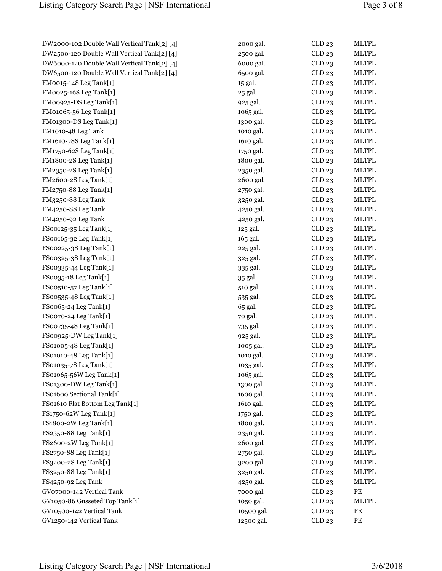| DW2000-102 Double Wall Vertical Tank[2] |
|-----------------------------------------|
| DW2500-120 Double Wall Vertical Tank[2] |
| DW6000-120 Double Wall Vertical Tank[2] |
| DW6500-120 Double Wall Vertical Tank[2] |
| FM0015-14S Leg Tank[1]                  |
| FM0025-16S Leg Tank[1]                  |
| FM00925-DS Leg Tank[1]                  |
| FM01065-56 Leg Tank[1]                  |
| FM01300-DS Leg Tank[1]                  |
| FM1010-48 Leg Tank                      |
| FM1610-78S Leg Tank[1]                  |
| FM1750-62S Leg Tank[1]                  |
| FM1800-2S Leg Tank[1]                   |
| FM2350-2S Leg Tank[1]                   |
| FM2600-2S Leg Tank[1]                   |
| FM2750-88 Leg Tank[1]                   |
| FM3250-88 Leg Tank                      |
| FM4250-88 Leg Tank                      |
| FM4250-92 Leg Tank                      |
| FS00125-35 Leg Tank[1]                  |
| FS00165-32 Leg Tank[1]                  |
| FS00225-38 Leg Tank[1]                  |
| FS00325-38 Leg Tank[1]                  |
| FS00335-44 Leg Tank[1]                  |
| FS0035-18 Leg Tank[1]                   |
|                                         |
| FS00510-57 Leg Tank[1]                  |
| FS00535-48 Leg Tank[1]                  |
| FS0065-24 Leg Tank[1]                   |
| FS0070-24 Leg Tank[1]                   |
| FS00735-48 Leg Tank[1]                  |
| FS00925-DW Leg Tank[1]                  |
| FS01005-48 Leg Tank[1]                  |
| FS01010-48 Leg Tank[1]                  |
| FS01035-78 Leg Tank[1]                  |
| FS01065-56W Leg Tank[1]                 |
| FS01300-DW Leg Tank[1]                  |
| FS01600 Sectional Tank[1]               |
| FS01610 Flat Bottom Leg Tank[1]         |
| FS1750-62W Leg Tank[1]                  |
| FS1800-2W Leg Tank[1]                   |
| FS2350-88 Leg Tank[1]                   |
| FS2600-2W Leg Tank[1]                   |
| FS2750-88 Leg Tank[1]                   |
| FS3200-2S Leg Tank[1]                   |
| FS3250-88 Leg Tank[1]                   |
| FS4250-92 Leg Tank                      |
| GV07000-142 Vertical Tank               |
| GV1050-86 Gusseted Top Tank[1]          |
| GV10500-142 Vertical Tank               |
| GV1250-142 Vertical Tank                |
|                                         |

| DW2000-102 Double Wall Vertical Tank[2] [4] | 2000 gal.  | CLD23  | <b>MLTPL</b>                          |
|---------------------------------------------|------------|--------|---------------------------------------|
| DW2500-120 Double Wall Vertical Tank[2] [4] | 2500 gal.  | CLD 23 | <b>MLTPL</b>                          |
| DW6000-120 Double Wall Vertical Tank[2] [4] | 6000 gal.  | CLD 23 | <b>MLTPL</b>                          |
| DW6500-120 Double Wall Vertical Tank[2] [4] | 6500 gal.  | CLD23  | <b>MLTPL</b>                          |
| FM0015-14S Leg Tank[1]                      | 15 gal.    | CLD 23 | <b>MLTPL</b>                          |
| FM0025-16S Leg Tank[1]                      | 25 gal.    | CLD 23 | <b>MLTPL</b>                          |
| FM00925-DS Leg Tank[1]                      | 925 gal.   | CLD 23 | <b>MLTPL</b>                          |
| FM01065-56 Leg Tank[1]                      | 1065 gal.  | CLD 23 | <b>MLTPL</b>                          |
| FM01300-DS Leg Tank[1]                      | 1300 gal.  | CLD 23 | <b>MLTPL</b>                          |
| FM1010-48 Leg Tank                          | 1010 gal.  | CLD 23 | <b>MLTPL</b>                          |
| FM1610-78S Leg Tank[1]                      | 1610 gal.  | CLD 23 | <b>MLTPL</b>                          |
| FM1750-62S Leg Tank[1]                      | 1750 gal.  | CLD 23 | <b>MLTPL</b>                          |
| FM1800-2S Leg Tank[1]                       | 1800 gal.  | CLD 23 | <b>MLTPL</b>                          |
| FM2350-2S Leg Tank[1]                       | 2350 gal.  | CLD 23 | <b>MLTPL</b>                          |
| FM2600-2S Leg Tank[1]                       | 2600 gal.  | CLD 23 | <b>MLTPL</b>                          |
| FM2750-88 Leg Tank[1]                       | 2750 gal.  | CLD23  | <b>MLTPL</b>                          |
| FM3250-88 Leg Tank                          | 3250 gal.  | CLD 23 | <b>MLTPL</b>                          |
| FM4250-88 Leg Tank                          | 4250 gal.  | CLD 23 | <b>MLTPL</b>                          |
| FM4250-92 Leg Tank                          | 4250 gal.  | CLD 23 | <b>MLTPL</b>                          |
| FS00125-35 Leg Tank[1]                      | 125 gal.   | CLD 23 | <b>MLTPL</b>                          |
| FS00165-32 Leg Tank[1]                      | 165 gal.   | CLD23  | <b>MLTPL</b>                          |
| FS00225-38 Leg Tank[1]                      | 225 gal.   | CLD 23 | <b>MLTPL</b>                          |
| FS00325-38 Leg Tank[1]                      | 325 gal.   | CLD 23 | <b>MLTPL</b>                          |
| FS00335-44 Leg Tank[1]                      | 335 gal.   | CLD 23 | <b>MLTPL</b>                          |
| FS0035-18 Leg Tank[1]                       | 35 gal.    | CLD 23 | <b>MLTPL</b>                          |
| FS00510-57 Leg Tank[1]                      | 510 gal.   | CLD 23 | <b>MLTPL</b>                          |
| FS00535-48 Leg Tank[1]                      | 535 gal.   | CLD 23 | <b>MLTPL</b>                          |
| FS0065-24 Leg Tank[1]                       | 65 gal.    | CLD 23 | <b>MLTPL</b>                          |
| FS0070-24 Leg Tank[1]                       | 70 gal.    | CLD 23 | <b>MLTPL</b>                          |
| FS00735-48 Leg Tank[1]                      | 735 gal.   | CLD 23 | <b>MLTPL</b>                          |
| FS00925-DW Leg Tank[1]                      | 925 gal.   | CLD 23 | <b>MLTPL</b>                          |
| FS01005-48 Leg Tank[1]                      | 1005 gal.  | CLD 23 | <b>MLTPL</b>                          |
| FS01010-48 Leg Tank[1]                      | 1010 gal.  | CLD 23 | <b>MLTPL</b>                          |
| FS01035-78 Leg Tank[1]                      | 1035 gal.  | CLD23  | <b>MLTPL</b>                          |
| FS01065-56W Leg Tank[1]                     | 1065 gal.  | CLD 23 | <b>MLTPL</b>                          |
| FS01300-DW Leg Tank[1]                      | 1300 gal.  | CLD23  | <b>MLTPL</b>                          |
| FS01600 Sectional Tank[1]                   | 1600 gal.  | CLD23  | <b>MLTPL</b>                          |
| FS01610 Flat Bottom Leg Tank[1]             | 1610 gal.  | CLD23  | <b>MLTPL</b>                          |
| FS1750-62W Leg Tank[1]                      | 1750 gal.  | CLD23  | <b>MLTPL</b>                          |
| FS1800-2W Leg Tank[1]                       | 1800 gal.  | CLD23  | <b>MLTPL</b>                          |
| FS2350-88 Leg Tank[1]                       | 2350 gal.  | CLD23  | <b>MLTPL</b>                          |
| FS2600-2W Leg Tank[1]                       | 2600 gal.  | CLD23  | <b>MLTPL</b>                          |
| FS2750-88 Leg Tank[1]                       | 2750 gal.  | CLD23  | <b>MLTPL</b>                          |
| FS3200-2S Leg Tank[1]                       | 3200 gal.  | CLD23  | <b>MLTPL</b>                          |
| FS3250-88 Leg Tank[1]                       | 3250 gal.  | CLD23  | <b>MLTPL</b>                          |
| FS4250-92 Leg Tank                          | 4250 gal.  | CLD23  | <b>MLTPL</b>                          |
| GV07000-142 Vertical Tank                   | 7000 gal.  | CLD23  | PE                                    |
| GV1050-86 Gusseted Top Tank[1]              | 1050 gal.  | CLD23  | <b>MLTPL</b>                          |
| GV10500-142 Vertical Tank                   | 10500 gal. | CLD 23 | PE                                    |
| GV1250-142 Vertical Tank                    | 12500 gal. | CLD 23 | $\ensuremath{\mathop{\text{\rm PE}}}$ |
|                                             |            |        |                                       |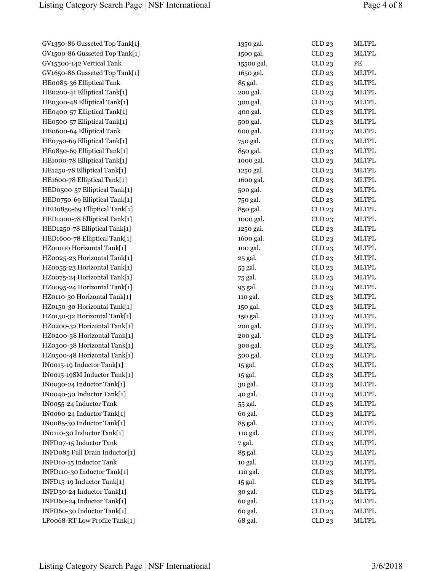GV1350-86 Gusseted Top Tank[1] GV1500-86 Gusseted Top Tank[1] GV15500-142 Vertical Tank GV1650-86 Gusseted Top Tank[1] HE0085-36 Elliptical Tank HE0200-41 Elliptical Tank[1] HE0300-48 Elliptical Tank[1] HE0400-57 Elliptical Tank[1] HE0500-57 Elliptical Tank[1] HE0600-64 Elliptical Tank  $HEo750-69$  Elliptical Tank[1]. HE0850-69 Elliptical Tank[1] HE1000-78 Elliptical Tank[1] HE1250-78 Elliptical Tank[1] HE1600-78 Elliptical Tank[1] HED0500-57 Elliptical Tank[1] HED0750-69 Elliptical Tank[1] HED0850-69 Elliptical Tank[1] HED1000-78 Elliptical Tank[1] HED1250-78 Elliptical Tank[1] HED1600-78 Elliptical Tank[1] HZ00100 Horizontal Tank[1] HZ0025-23 Horizontal Tank[1] HZ0055-23 Horizontal Tank[1] HZ0075-24 Horizontal Tank[1] HZ0095-24 Horizontal Tank[1] HZ0110-30 Horizontal Tank[1] HZ0150-30 Horizontal Tank[1] HZ0150-32 Horizontal Tank[1] HZ0200-32 Horizontal Tank[1] HZ0200-38 Horizontal Tank[1] HZ0300-38 Horizontal Tank[1] HZ0500-48 Horizontal Tank[1] IN0015-19 Inductor Tank[1] IN0015-19SM Inductor Tank[1] IN0030-24 Inductor Tank[1] IN0040-30 Inductor Tank[1] IN0055-24 Inductor Tank IN0060-24 Inductor Tank[1] IN0085-30 Inductor Tank[1] IN0110-30 Inductor Tank[1] INFD07-15 Inductor Tank INFD085 Full Drain Inductor[1] INFD10-15 Inductor Tank INFD110-30 Inductor Tank[1] INFD15-19 Inductor Tank[1] INFD30-24 Inductor Tank[1] INFD60-24 Inductor Tank[1] INFD60-30 Inductor Tank[1] LP0068-RT Low Profile Tank[1]

| 1350 gal.  | CLD23             | <b>MLTPL</b> |
|------------|-------------------|--------------|
| 1500 gal.  | CLD23             | <b>MLTPL</b> |
| 15500 gal. | CLD <sub>23</sub> | PE           |
| 1650 gal.  | CLD23             | <b>MLTPL</b> |
| 85 gal.    | CLD23             | <b>MLTPL</b> |
| 200 gal.   | CLD23             | <b>MLTPL</b> |
| 300 gal.   | CLD 23            | <b>MLTPL</b> |
| 400 gal.   | CLD23             | <b>MLTPL</b> |
| 500 gal.   | CLD <sub>23</sub> | <b>MLTPL</b> |
| 600 gal.   | CLD23             | <b>MLTPL</b> |
| 750 gal.   | CLD 23            | <b>MLTPL</b> |
| 850 gal.   | CLD23             | <b>MLTPL</b> |
| 1000 gal.  | CLD23             | <b>MLTPL</b> |
| 1250 gal.  | CLD23             | <b>MLTPL</b> |
| 1600 gal.  | CLD 23            | <b>MLTPL</b> |
| 500 gal.   | CLD23             | <b>MLTPL</b> |
| 750 gal.   | CLD <sub>23</sub> | <b>MLTPL</b> |
| 850 gal.   | CLD23             | <b>MLTPL</b> |
| 1000 gal.  | CLD 23            | <b>MLTPL</b> |
| 1250 gal.  | CLD23             | <b>MLTPL</b> |
| 1600 gal.  | CLD23             | <b>MLTPL</b> |
| 100 gal.   | CLD23             | <b>MLTPL</b> |
| 25 gal.    | CLD 23            | <b>MLTPL</b> |
| 55 gal.    | CLD <sub>23</sub> | <b>MLTPL</b> |
| 75 gal.    | CLD23             | <b>MLTPL</b> |
| 95 gal.    | CLD23             | <b>MLTPL</b> |
| 110 gal.   | CLD 23            | <b>MLTPL</b> |
| 150 gal.   | CLD23             | <b>MLTPL</b> |
| 150 gal.   | CLD <sub>23</sub> | <b>MLTPL</b> |
| 200 gal.   | CLD23             | <b>MLTPL</b> |
| 200 gal.   | CLD 23            | <b>MLTPL</b> |
| 300 gal.   | CLD <sub>23</sub> | <b>MLTPL</b> |
| 500 gal.   | CLD <sub>23</sub> | <b>MLTPL</b> |
| 15 gal.    | CLD23             | <b>MLTPL</b> |
| 15 gal.    | CLD <sub>23</sub> | <b>MLTPL</b> |
| 30 gal.    | CLD23             | <b>MLTPL</b> |
| 40 gal.    | CLD <sub>23</sub> | <b>MLTPL</b> |
| 55 gal.    | CLD <sub>23</sub> | <b>MLTPL</b> |
| 60 gal.    | CLD 23            | <b>MLTPL</b> |
| 85 gal.    | CLD23             | <b>MLTPL</b> |
| 110 gal.   | CLD 23            | <b>MLTPL</b> |
| 7 gal.     | CLD <sub>23</sub> | <b>MLTPL</b> |
| 85 gal.    | CLD23             | <b>MLTPL</b> |
| 10 gal.    | CLD23             | <b>MLTPL</b> |
| 110 gal.   | CLD <sub>23</sub> | <b>MLTPL</b> |
| 15 gal.    | CLD23             | <b>MLTPL</b> |
| 30 gal.    | CLD 23            | <b>MLTPL</b> |
| 60 gal.    | CLD23             | <b>MLTPL</b> |
| 60 gal.    | CLD23             | <b>MLTPL</b> |
| 68 gal.    | CLD 23            | <b>MLTPL</b> |
|            |                   |              |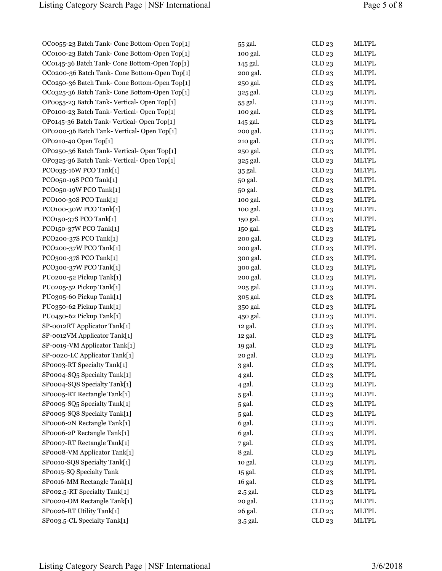| OC0055-23 Batch Tank- Cone Bottom-Open Top[1] | 55 gal.  | CLD23             | <b>MLTPL</b> |
|-----------------------------------------------|----------|-------------------|--------------|
| OC0100-23 Batch Tank- Cone Bottom-Open Top[1] | 100 gal. | CLD 23            | <b>MLTPL</b> |
| OC0145-36 Batch Tank- Cone Bottom-Open Top[1] | 145 gal. | CLD23             | <b>MLTPL</b> |
| OC0200-36 Batch Tank- Cone Bottom-Open Top[1] | 200 gal. | CLD23             | <b>MLTPL</b> |
| OC0250-36 Batch Tank- Cone Bottom-Open Top[1] | 250 gal. | CLD23             | <b>MLTPL</b> |
| OC0325-36 Batch Tank- Cone Bottom-Open Top[1] | 325 gal. | CLD23             | <b>MLTPL</b> |
| OP0055-23 Batch Tank- Vertical- Open Top[1]   | 55 gal.  | CLD23             | <b>MLTPL</b> |
| OP0100-23 Batch Tank- Vertical- Open Top[1]   | 100 gal. | CLD23             | MLTPL        |
| OP0145-36 Batch Tank-Vertical-Open Top[1]     | 145 gal. | CLD23             | <b>MLTPL</b> |
| OP0200-36 Batch Tank-Vertical-Open Top[1]     | 200 gal. | CLD23             | <b>MLTPL</b> |
| OP0210-40 Open Top[1]                         | 210 gal. | CLD23             | <b>MLTPL</b> |
| OP0250-36 Batch Tank-Vertical-Open Top[1]     | 250 gal. | CLD23             | <b>MLTPL</b> |
| OP0325-36 Batch Tank- Vertical- Open Top[1]   | 325 gal. | CLD23             | <b>MLTPL</b> |
| PCO035-16W PCO Tank[1]                        | 35 gal.  | CLD23             | <b>MLTPL</b> |
| PCO050-19S PCO Tank[1]                        | 50 gal.  | CLD23             | <b>MLTPL</b> |
| PCO050-19W PCO Tank[1]                        | 50 gal.  | CLD23             | MLTPL        |
| PCO100-30S PCO Tank[1]                        | 100 gal. | CLD23             | <b>MLTPL</b> |
| PCO100-30W PCO Tank[1]                        | 100 gal. | CLD23             | <b>MLTPL</b> |
| PCO150-37S PCO Tank[1]                        | 150 gal. | CLD23             | <b>MLTPL</b> |
| PCO150-37W PCO Tank[1]                        | 150 gal. | CLD23             | <b>MLTPL</b> |
| PCO200-37S PCO Tank[1]                        | 200 gal. | CLD23             | <b>MLTPL</b> |
| PCO200-37W PCO Tank[1]                        | 200 gal. | CLD23             | <b>MLTPL</b> |
| PCO300-37S PCO Tank[1]                        | 300 gal. | CLD23             | <b>MLTPL</b> |
| PCO300-37W PCO Tank[1]                        | 300 gal. | CLD23             | MLTPL        |
| PU0200-52 Pickup Tank[1]                      | 200 gal. | CLD23             | <b>MLTPL</b> |
| PU0205-52 Pickup Tank[1]                      | 205 gal. | CLD23             | <b>MLTPL</b> |
| PU0305-60 Pickup Tank[1]                      | 305 gal. | CLD23             | <b>MLTPL</b> |
| PU0350-62 Pickup Tank[1]                      | 350 gal. | CLD23             | <b>MLTPL</b> |
| PU0450-62 Pickup Tank[1]                      | 450 gal. | CLD23             | <b>MLTPL</b> |
| SP-0012RT Applicator Tank[1]                  | 12 gal.  | CLD23             | <b>MLTPL</b> |
| SP-0012VM Applicator Tank[1]                  | 12 gal.  | CLD23             | <b>MLTPL</b> |
| SP-0019-VM Applicator Tank[1]                 | 19 gal.  | CLD23             | MLTPL        |
| SP-0020-LC Applicator Tank[1]                 | 20 gal.  | CLD23             | <b>MLTPL</b> |
| SP0003-RT Specialty Tank[1]                   | 3 gal.   | CLD <sub>23</sub> | MLTPL        |
| SPooo4-SQ5 Specialty Tank[1]                  | 4 gal.   | CLD23             | <b>MLTPL</b> |
| SPooo4-SQ8 Specialty Tank[1]                  | 4 gal.   | CLD23             | MLTPL        |
| SP0005-RT Rectangle Tank[1]                   | 5 gal.   | CLD23             | <b>MLTPL</b> |
| SP0005-SQ5 Specialty Tank[1]                  | 5 gal.   | CLD23             | <b>MLTPL</b> |
| SP0005-SQ8 Specialty Tank[1]                  | 5 gal.   | CLD23             | <b>MLTPL</b> |
| SP0006-2N Rectangle Tank[1]                   | 6 gal.   | CLD23             | <b>MLTPL</b> |
| SP0006-2P Rectangle Tank[1]                   | 6 gal.   | CLD23             | <b>MLTPL</b> |
| SP0007-RT Rectangle Tank[1]                   |          | CLD23             | <b>MLTPL</b> |
| SPooo8-VM Applicator Tank[1]                  | 7 gal.   |                   | <b>MLTPL</b> |
|                                               | 8 gal.   | CLD23             |              |
| SPoo10-SQ8 Specialty Tank[1]                  | 10 gal.  | CLD23             | MLTPL        |
| SP0015-SQ Specialty Tank                      | 15 gal.  | CLD23             | <b>MLTPL</b> |
| SPoo16-MM Rectangle Tank[1]                   | 16 gal.  | CLD23             | <b>MLTPL</b> |
| SP002.5-RT Specialty Tank[1]                  | 2.5 gal. | CLD23             | <b>MLTPL</b> |
| SP0020-OM Rectangle Tank[1]                   | 20 gal.  | CLD23             | <b>MLTPL</b> |
| SPoo26-RT Utility Tank[1]                     | 26 gal.  | CLD23             | MLTPL        |
| SP003.5-CL Specialty Tank[1]                  | 3.5 gal. | CLD 23            | <b>MLTPL</b> |

| 55 gal.  | CLD23             | <b>MLTPL</b> |
|----------|-------------------|--------------|
| 100 gal. | CLD23             | <b>MLTPL</b> |
| 145 gal. | CLD23             | <b>MLTPL</b> |
| 200 gal. | CLD23             | <b>MLTPL</b> |
| 250 gal. | CLD23             | <b>MLTPL</b> |
| 325 gal. | CLD23             | <b>MLTPL</b> |
| 55 gal.  | CLD23             | <b>MLTPL</b> |
| 100 gal. | CLD23             | <b>MLTPL</b> |
| 145 gal. | CLD23             | <b>MLTPL</b> |
| 200 gal. | CLD23             | <b>MLTPL</b> |
| 210 gal. | CLD23             | <b>MLTPL</b> |
| 250 gal. | CLD23             | <b>MLTPL</b> |
| 325 gal. | CLD 23            | <b>MLTPL</b> |
| 35 gal.  | CLD23             | <b>MLTPL</b> |
| 50 gal.  | CLD <sub>23</sub> | <b>MLTPL</b> |
| 50 gal.  | CLD <sub>23</sub> | <b>MLTPL</b> |
| 100 gal. | CLD23             | <b>MLTPL</b> |
| 100 gal. | CLD23             | <b>MLTPL</b> |
| 150 gal. | CLD23             | <b>MLTPL</b> |
| 150 gal. | CLD23             | <b>MLTPL</b> |
| 200 gal. | CLD23             | <b>MLTPL</b> |
| 200 gal. | CLD23             | <b>MLTPL</b> |
| 300 gal. | CLD23             | <b>MLTPL</b> |
| 300 gal. | CLD23             | <b>MLTPL</b> |
| 200 gal. | CLD23             | <b>MLTPL</b> |
| 205 gal. | CLD23             | <b>MLTPL</b> |
| 305 gal. | CLD23             | <b>MLTPL</b> |
| 350 gal. | CLD23             | <b>MLTPL</b> |
| 450 gal. | CLD23             | <b>MLTPL</b> |
| 12 gal.  | CLD23             | <b>MLTPL</b> |
| 12 gal.  | CLD23             | <b>MLTPL</b> |
| 19 gal.  | CLD23             | <b>MLTPL</b> |
| 20 gal.  | CLD <sub>23</sub> | <b>MLTPL</b> |
| 3 gal.   | CLD 23            | <b>MLTPL</b> |
| 4 gal.   | CLD23             | <b>MLTPL</b> |
| 4 gal.   | CLD23             | <b>MLTPL</b> |
| 5 gal.   | CLD <sub>23</sub> | <b>MLTPL</b> |
| 5 gal.   | CLD <sub>23</sub> | <b>MLTPL</b> |
| 5 gal.   | CLD 23            | <b>MLTPL</b> |
| 6 gal.   | CLD <sub>23</sub> | <b>MLTPL</b> |
| 6 gal.   | CLD23             | <b>MLTPL</b> |
| 7 gal.   | CLD 23            | <b>MLTPL</b> |
| 8 gal.   | CLD 23            | <b>MLTPL</b> |
| 10 gal.  | CLD23             | <b>MLTPL</b> |
| 15 gal.  | CLD23             | <b>MLTPL</b> |
| 16 gal.  | CLD 23            | <b>MLTPL</b> |
|          | CLD23             | <b>MLTPL</b> |
| 2.5 gal. |                   | <b>MLTPL</b> |
| 20 gal.  | CLD23             | <b>MLTPL</b> |
| 26 gal.  | CLD23             |              |
| 3.5 gal. | CLD 23            | <b>MLTPL</b> |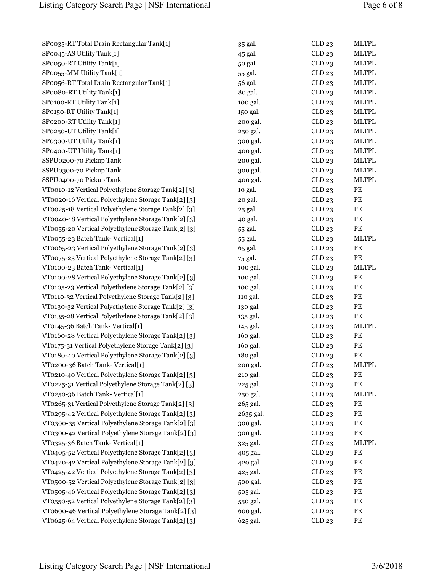| SP0035-RT Total Drain Rectangular Tank[1]           | 35 gal.   | CLD23  | <b>MLTPL</b>                          |
|-----------------------------------------------------|-----------|--------|---------------------------------------|
| SP0045-AS Utility Tank[1]                           | 45 gal.   | CLD23  | <b>MLTPL</b>                          |
| SP0050-RT Utility Tank[1]                           | 50 gal.   | CLD23  | <b>MLTPL</b>                          |
| SP0055-MM Utility Tank[1]                           | 55 gal.   | CLD23  | <b>MLTPL</b>                          |
| SP0056-RT Total Drain Rectangular Tank[1]           | 56 gal.   | CLD23  | <b>MLTPL</b>                          |
| SPoo8o-RT Utility Tank[1]                           | 80 gal.   | CLD23  | <b>MLTPL</b>                          |
| SP0100-RT Utility Tank[1]                           | 100 gal.  | CLD23  | <b>MLTPL</b>                          |
| SP0150-RT Utility Tank[1]                           | 150 gal.  | CLD23  | <b>MLTPL</b>                          |
| SP0200-RT Utility Tank[1]                           | 200 gal.  | CLD23  | <b>MLTPL</b>                          |
| SP0250-UT Utility Tank[1]                           | 250 gal.  | CLD23  | <b>MLTPL</b>                          |
| SP0300-UT Utility Tank[1]                           | 300 gal.  | CLD23  | <b>MLTPL</b>                          |
| SP0400-UT Utility Tank[1]                           | 400 gal.  | CLD23  | <b>MLTPL</b>                          |
| SSPU0200-70 Pickup Tank                             | 200 gal.  | CLD23  | <b>MLTPL</b>                          |
| SSPU0300-70 Pickup Tank                             | 300 gal.  | CLD23  | <b>MLTPL</b>                          |
| SSPU0400-70 Pickup Tank                             | 400 gal.  | CLD23  | <b>MLTPL</b>                          |
| VT0010-12 Vertical Polyethylene Storage Tank[2] [3] | 10 gal.   | CLD23  | PE                                    |
| VT0020-16 Vertical Polyethylene Storage Tank[2] [3] | 20 gal.   | CLD23  | PE                                    |
| VT0025-18 Vertical Polyethylene Storage Tank[2] [3] | 25 gal.   | CLD23  | $\mathbf{P}\mathbf{E}$                |
| VT0040-18 Vertical Polyethylene Storage Tank[2] [3] | 40 gal.   | CLD23  | $\mathbf{P}\mathbf{E}$                |
| VT0055-20 Vertical Polyethylene Storage Tank[2] [3] | 55 gal.   | CLD23  | PE                                    |
| VT0055-23 Batch Tank-Vertical[1]                    | 55 gal.   | CLD23  | <b>MLTPL</b>                          |
| VT0065-23 Vertical Polyethylene Storage Tank[2] [3] | 65 gal.   | CLD23  | PE                                    |
| VT0075-23 Vertical Polyethylene Storage Tank[2] [3] | 75 gal.   | CLD23  | $\ensuremath{\mathop{\text{\rm PE}}}$ |
| VT0100-23 Batch Tank-Vertical[1]                    | 100 gal.  | CLD23  | MLTPL                                 |
| VT0100-28 Vertical Polyethylene Storage Tank[2] [3] | 100 gal.  | CLD23  | PE                                    |
| VT0105-23 Vertical Polyethylene Storage Tank[2] [3] | 100 gal.  | CLD23  | PE                                    |
| VT0110-32 Vertical Polyethylene Storage Tank[2] [3] | 110 gal.  | CLD23  | $\mathbf{P}\mathbf{E}$                |
| VT0130-32 Vertical Polyethylene Storage Tank[2] [3] |           | CLD23  | $\mathbf{P}\mathbf{E}$                |
| VT0135-28 Vertical Polyethylene Storage Tank[2] [3] | 130 gal.  | CLD23  |                                       |
|                                                     | 135 gal.  |        | PE                                    |
| VT0145-36 Batch Tank-Vertical[1]                    | 145 gal.  | CLD23  | <b>MLTPL</b>                          |
| VT0160-28 Vertical Polyethylene Storage Tank[2] [3] | 160 gal.  | CLD23  | PE                                    |
| VT0175-31 Vertical Polyethylene Storage Tank[2] [3] | 160 gal.  | CLD23  | $\ensuremath{\mathop{\text{\rm PE}}}$ |
| VT0180-40 Vertical Polyethylene Storage Tank[2] [3] | 180 gal.  | CLD 23 | PE                                    |
| VT0200-36 Batch Tank- Vertical[1]                   | 200 gal.  | CLD23  | <b>MLTPL</b>                          |
| VT0210-40 Vertical Polyethylene Storage Tank[2] [3] | 210 gal.  | CLD 23 | $\ensuremath{\mathop{\text{\rm PE}}}$ |
| VT0225-31 Vertical Polyethylene Storage Tank[2] [3] | 225 gal.  | CLD23  | $\ensuremath{\mathop{\text{\rm PE}}}$ |
| VT0250-36 Batch Tank-Vertical[1]                    | 250 gal.  | CLD23  | MLTPL                                 |
| VT0265-31 Vertical Polyethylene Storage Tank[2] [3] | 265 gal.  | CLD 23 | PE                                    |
| VT0295-42 Vertical Polyethylene Storage Tank[2] [3] | 2635 gal. | CLD23  | PE                                    |
| VT0300-35 Vertical Polyethylene Storage Tank[2] [3] | 300 gal.  | CLD23  | $\mathbf{P}\mathbf{E}$                |
| VT0300-42 Vertical Polyethylene Storage Tank[2] [3] | 300 gal.  | CLD23  | PE                                    |
| VT0325-36 Batch Tank-Vertical[1]                    | 325 gal.  | CLD23  | MLTPL                                 |
| VT0405-52 Vertical Polyethylene Storage Tank[2] [3] | 405 gal.  | CLD23  | PE                                    |
| VT0420-42 Vertical Polyethylene Storage Tank[2] [3] | 420 gal.  | CLD23  | PE                                    |
| VT0425-42 Vertical Polyethylene Storage Tank[2] [3] | 425 gal.  | CLD23  | PE                                    |
| VT0500-52 Vertical Polyethylene Storage Tank[2] [3] | 500 gal.  | CLD23  | PE                                    |
| VT0505-46 Vertical Polyethylene Storage Tank[2] [3] | 505 gal.  | CLD23  | $\mathbf{P}\mathbf{E}$                |
| VT0550-52 Vertical Polyethylene Storage Tank[2] [3] | 550 gal.  | CLD23  | PE                                    |
| VT0600-46 Vertical Polyethylene Storage Tank[2] [3] | 600 gal.  | CLD 23 | PE                                    |
| VT0625-64 Vertical Polyethylene Storage Tank[2] [3] | 625 gal.  | CLD23  | $\mathbf{P}\mathbf{E}$                |
|                                                     |           |        |                                       |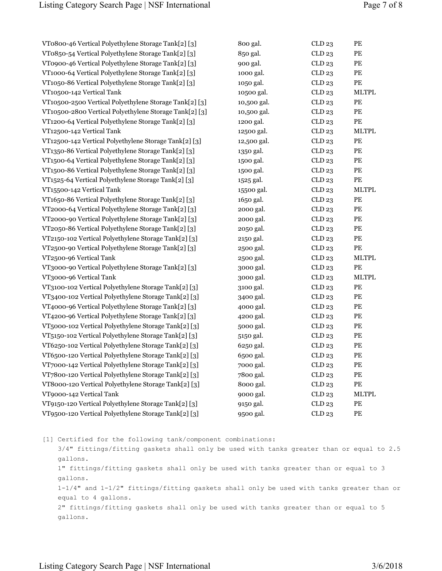| VT0800-46 Vertical Polyethylene Storage Tank[2] [3]    | 800 gal.    | CLD23             | PE                                    |
|--------------------------------------------------------|-------------|-------------------|---------------------------------------|
| VT0850-54 Vertical Polyethylene Storage Tank[2] [3]    | 850 gal.    | CLD 23            | PE                                    |
| VT0900-46 Vertical Polyethylene Storage Tank[2] [3]    | 900 gal.    | CLD23             | PE                                    |
| VT1000-64 Vertical Polyethylene Storage Tank[2] [3]    | 1000 gal.   | CLD23             | PE                                    |
| VT1050-86 Vertical Polyethylene Storage Tank[2] [3]    | 1050 gal.   | CLD23             | PE                                    |
| VT10500-142 Vertical Tank                              | 10500 gal.  | CLD23             | <b>MLTPL</b>                          |
| VT10500-2500 Vertical Polyethylene Storage Tank[2] [3] | 10,500 gal. | CLD23             | $\ensuremath{\mathop{\text{\rm PE}}}$ |
| VT10500-2800 Vertical Polyethylene Storage Tank[2] [3] | 10,500 gal. | CLD23             | PE                                    |
| VT1200-64 Vertical Polyethylene Storage Tank[2] [3]    | 1200 gal.   | CLD23             | PE                                    |
| VT12500-142 Vertical Tank                              | 12500 gal.  | CLD23             | <b>MLTPL</b>                          |
| VT12500-142 Vertical Polyethylene Storage Tank[2] [3]  | 12,500 gal. | CLD23             | PE                                    |
| VT1350-86 Vertical Polyethylene Storage Tank[2] [3]    | 1350 gal.   | CLD23             | PE                                    |
| VT1500-64 Vertical Polyethylene Storage Tank[2] [3]    | 1500 gal.   | CLD23             | PE                                    |
| VT1500-86 Vertical Polyethylene Storage Tank[2] [3]    | 1500 gal.   | CLD23             | PE                                    |
| VT1525-64 Vertical Polyethylene Storage Tank[2] [3]    | 1525 gal.   | CLD23             | $\ensuremath{\mathop{\text{\rm PE}}}$ |
| VT15500-142 Vertical Tank                              | 15500 gal.  | CLD23             | MLTPL                                 |
| VT1650-86 Vertical Polyethylene Storage Tank[2] [3]    | 1650 gal.   | CLD23             | PE                                    |
| VT2000-64 Vertical Polyethylene Storage Tank[2] [3]    | 2000 gal.   | CLD23             | PE                                    |
| VT2000-90 Vertical Polyethylene Storage Tank[2] [3]    | 2000 gal.   | CLD23             | PE                                    |
| VT2050-86 Vertical Polyethylene Storage Tank[2] [3]    | 2050 gal.   | CLD23             | PE                                    |
| VT2150-102 Vertical Polyethylene Storage Tank[2] [3]   | 2150 gal.   | CLD23             | PE                                    |
| VT2500-90 Vertical Polyethylene Storage Tank[2] [3]    | 2500 gal.   | CLD23             | PE                                    |
| VT2500-96 Vertical Tank                                | 2500 gal.   | CLD23             | <b>MLTPL</b>                          |
| VT3000-90 Vertical Polyethylene Storage Tank[2] [3]    | 3000 gal.   | CLD23             | PE                                    |
| VT3000-96 Vertical Tank                                | 3000 gal.   | CLD23             | <b>MLTPL</b>                          |
| VT3100-102 Vertical Polyethylene Storage Tank[2] [3]   | 3100 gal.   | CLD23             | PE                                    |
| VT3400-102 Vertical Polyethylene Storage Tank[2] [3]   | 3400 gal.   | CLD23             | PE                                    |
| VT4000-96 Vertical Polyethylene Storage Tank[2] [3]    | 4000 gal.   | CLD23             | PE                                    |
| VT4200-96 Vertical Polyethylene Storage Tank[2] [3]    | 4200 gal.   | CLD23             | PE                                    |
| VT5000-102 Vertical Polyethylene Storage Tank[2] [3]   | 5000 gal.   | CLD23             | PE                                    |
| VT5150-102 Vertical Polyethylene Storage Tank[2] [3]   | 5150 gal.   | CLD23             | PE                                    |
| VT6250-102 Vertical Polyethylene Storage Tank[2] [3]   | 6250 gal.   | CLD23             | PE                                    |
| VT6500-120 Vertical Polyethylene Storage Tank[2] [3]   | 6500 gal.   | CLD 23            | PE                                    |
| VT7000-142 Vertical Polyethylene Storage Tank[2] [3]   | 7000 gal.   | CLD <sub>23</sub> | $\ensuremath{\mathop{\text{\rm PE}}}$ |
| VT7800-120 Vertical Polyethylene Storage Tank[2] [3]   | 7800 gal.   | CLD 23            | PE                                    |
| VT8000-120 Vertical Polyethylene Storage Tank[2] [3]   | 8000 gal.   | CLD 23            | PE                                    |
| VT9000-142 Vertical Tank                               | 9000 gal.   | CLD23             | <b>MLTPL</b>                          |
| VT9150-120 Vertical Polyethylene Storage Tank[2] [3]   | 9150 gal.   | CLD23             | PE                                    |
| VT9500-120 Vertical Polyethylene Storage Tank[2] [3]   | 9500 gal.   | CLD23             | PE                                    |

[1] Certified for the following tank/component combinations: 3/4" fittings/fitting gaskets shall only be used with tanks greater than or equal to 2.5 gallons. 1" fittings/fitting gaskets shall only be used with tanks greater than or equal to 3 gallons. 1-1/4" and 1-1/2" fittings/fitting gaskets shall only be used with tanks greater than or equal to 4 gallons. 2" fittings/fitting gaskets shall only be used with tanks greater than or equal to 5 gallons.